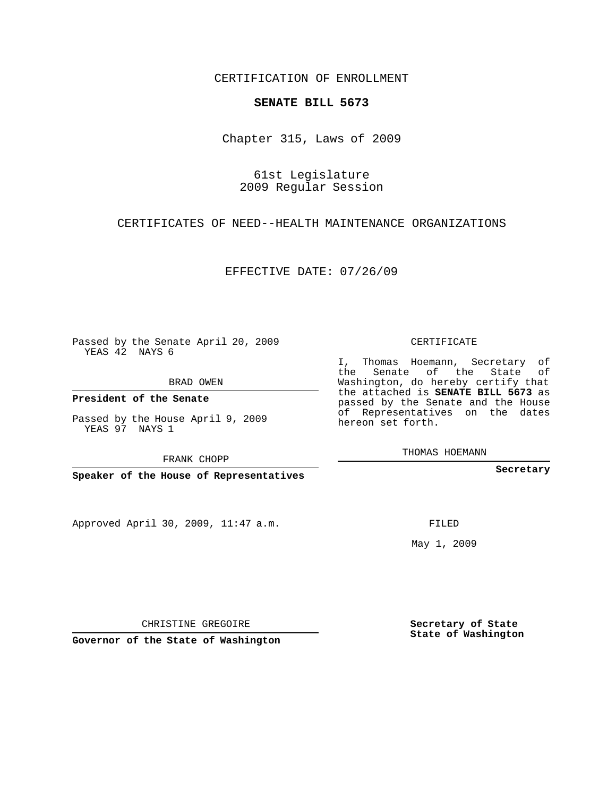### CERTIFICATION OF ENROLLMENT

#### **SENATE BILL 5673**

Chapter 315, Laws of 2009

61st Legislature 2009 Regular Session

CERTIFICATES OF NEED--HEALTH MAINTENANCE ORGANIZATIONS

EFFECTIVE DATE: 07/26/09

Passed by the Senate April 20, 2009 YEAS 42 NAYS 6

BRAD OWEN

**President of the Senate**

Passed by the House April 9, 2009 YEAS 97 NAYS 1

FRANK CHOPP

**Speaker of the House of Representatives**

Approved April 30, 2009, 11:47 a.m.

CERTIFICATE

I, Thomas Hoemann, Secretary of the Senate of the State of Washington, do hereby certify that the attached is **SENATE BILL 5673** as passed by the Senate and the House of Representatives on the dates hereon set forth.

THOMAS HOEMANN

**Secretary**

FILED

May 1, 2009

CHRISTINE GREGOIRE

**Governor of the State of Washington**

**Secretary of State State of Washington**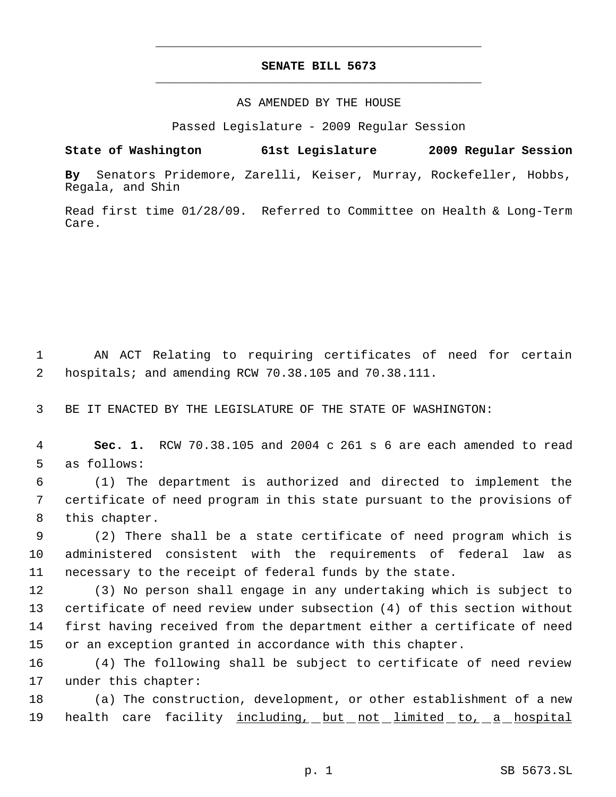## **SENATE BILL 5673** \_\_\_\_\_\_\_\_\_\_\_\_\_\_\_\_\_\_\_\_\_\_\_\_\_\_\_\_\_\_\_\_\_\_\_\_\_\_\_\_\_\_\_\_\_

\_\_\_\_\_\_\_\_\_\_\_\_\_\_\_\_\_\_\_\_\_\_\_\_\_\_\_\_\_\_\_\_\_\_\_\_\_\_\_\_\_\_\_\_\_

#### AS AMENDED BY THE HOUSE

Passed Legislature - 2009 Regular Session

## **State of Washington 61st Legislature 2009 Regular Session**

**By** Senators Pridemore, Zarelli, Keiser, Murray, Rockefeller, Hobbs, Regala, and Shin

Read first time 01/28/09. Referred to Committee on Health & Long-Term Care.

 1 AN ACT Relating to requiring certificates of need for certain 2 hospitals; and amending RCW 70.38.105 and 70.38.111.

3 BE IT ENACTED BY THE LEGISLATURE OF THE STATE OF WASHINGTON:

 4 **Sec. 1.** RCW 70.38.105 and 2004 c 261 s 6 are each amended to read 5 as follows:

 6 (1) The department is authorized and directed to implement the 7 certificate of need program in this state pursuant to the provisions of 8 this chapter.

 9 (2) There shall be a state certificate of need program which is 10 administered consistent with the requirements of federal law as 11 necessary to the receipt of federal funds by the state.

 (3) No person shall engage in any undertaking which is subject to certificate of need review under subsection (4) of this section without first having received from the department either a certificate of need or an exception granted in accordance with this chapter.

16 (4) The following shall be subject to certificate of need review 17 under this chapter:

18 (a) The construction, development, or other establishment of a new 19 health care facility including, but not limited to, a hospital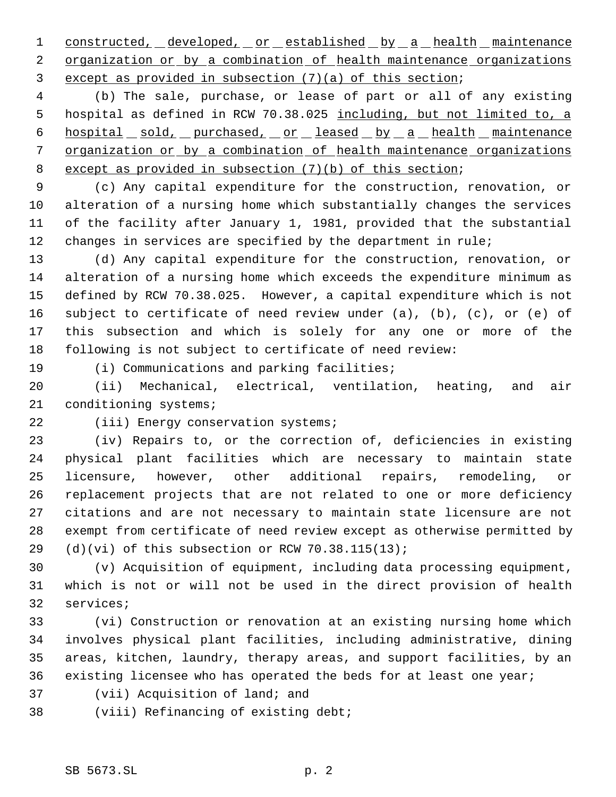1 constructed, developed, or established by a health maintenance 2 organization or by a combination of health maintenance organizations except as provided in subsection (7)(a) of this section;

 (b) The sale, purchase, or lease of part or all of any existing hospital as defined in RCW 70.38.025 including, but not limited to, a 6 hospital sold, purchased, or leased by a health maintenance organization or by a combination of health maintenance organizations except as provided in subsection (7)(b) of this section;

 (c) Any capital expenditure for the construction, renovation, or alteration of a nursing home which substantially changes the services of the facility after January 1, 1981, provided that the substantial changes in services are specified by the department in rule;

 (d) Any capital expenditure for the construction, renovation, or alteration of a nursing home which exceeds the expenditure minimum as defined by RCW 70.38.025. However, a capital expenditure which is not subject to certificate of need review under (a), (b), (c), or (e) of this subsection and which is solely for any one or more of the following is not subject to certificate of need review:

(i) Communications and parking facilities;

 (ii) Mechanical, electrical, ventilation, heating, and air conditioning systems;

# (iii) Energy conservation systems;

 (iv) Repairs to, or the correction of, deficiencies in existing physical plant facilities which are necessary to maintain state licensure, however, other additional repairs, remodeling, or replacement projects that are not related to one or more deficiency citations and are not necessary to maintain state licensure are not exempt from certificate of need review except as otherwise permitted by 29 (d)(vi) of this subsection or RCW  $70.38.115(13)$ ;

 (v) Acquisition of equipment, including data processing equipment, which is not or will not be used in the direct provision of health services;

 (vi) Construction or renovation at an existing nursing home which involves physical plant facilities, including administrative, dining areas, kitchen, laundry, therapy areas, and support facilities, by an existing licensee who has operated the beds for at least one year;

- (vii) Acquisition of land; and
- (viii) Refinancing of existing debt;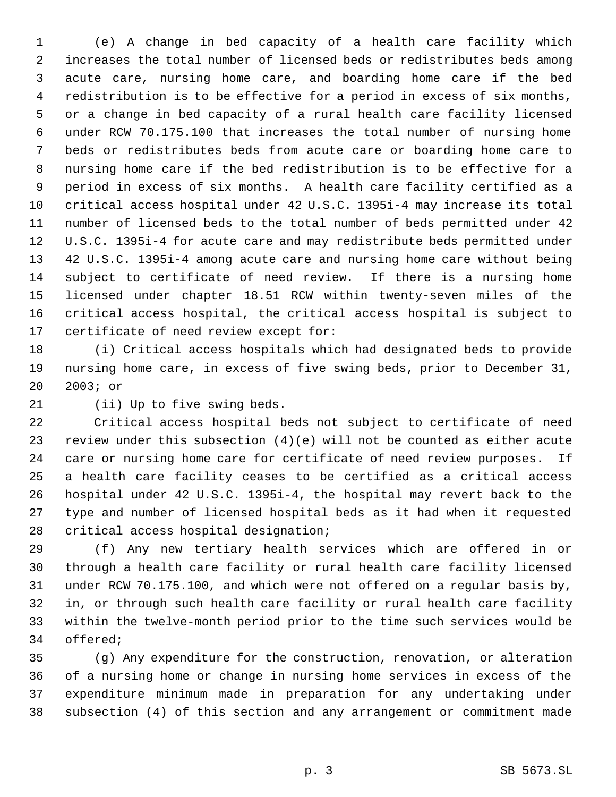(e) A change in bed capacity of a health care facility which increases the total number of licensed beds or redistributes beds among acute care, nursing home care, and boarding home care if the bed redistribution is to be effective for a period in excess of six months, or a change in bed capacity of a rural health care facility licensed under RCW 70.175.100 that increases the total number of nursing home beds or redistributes beds from acute care or boarding home care to nursing home care if the bed redistribution is to be effective for a period in excess of six months. A health care facility certified as a critical access hospital under 42 U.S.C. 1395i-4 may increase its total number of licensed beds to the total number of beds permitted under 42 U.S.C. 1395i-4 for acute care and may redistribute beds permitted under 42 U.S.C. 1395i-4 among acute care and nursing home care without being subject to certificate of need review. If there is a nursing home licensed under chapter 18.51 RCW within twenty-seven miles of the critical access hospital, the critical access hospital is subject to certificate of need review except for:

 (i) Critical access hospitals which had designated beds to provide nursing home care, in excess of five swing beds, prior to December 31, 2003; or

(ii) Up to five swing beds.

 Critical access hospital beds not subject to certificate of need review under this subsection (4)(e) will not be counted as either acute care or nursing home care for certificate of need review purposes. If a health care facility ceases to be certified as a critical access hospital under 42 U.S.C. 1395i-4, the hospital may revert back to the type and number of licensed hospital beds as it had when it requested critical access hospital designation;

 (f) Any new tertiary health services which are offered in or through a health care facility or rural health care facility licensed under RCW 70.175.100, and which were not offered on a regular basis by, in, or through such health care facility or rural health care facility within the twelve-month period prior to the time such services would be offered;

 (g) Any expenditure for the construction, renovation, or alteration of a nursing home or change in nursing home services in excess of the expenditure minimum made in preparation for any undertaking under subsection (4) of this section and any arrangement or commitment made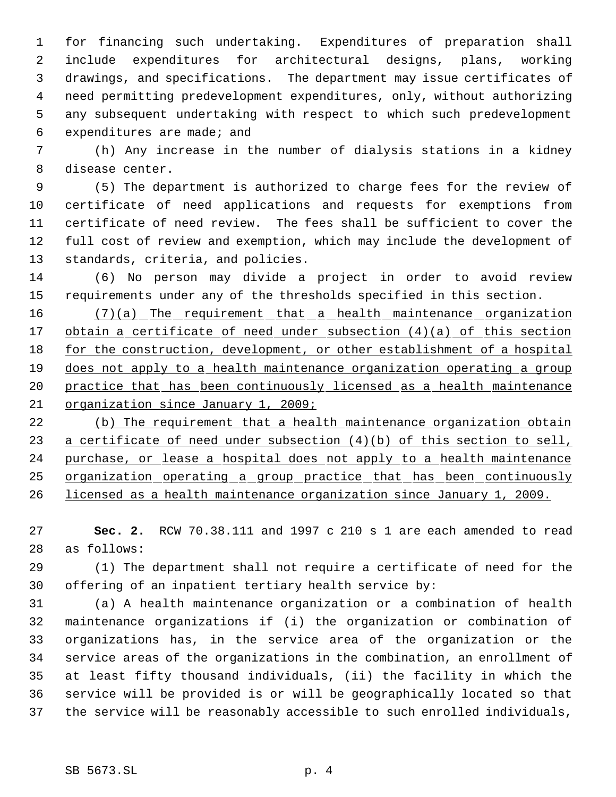for financing such undertaking. Expenditures of preparation shall include expenditures for architectural designs, plans, working drawings, and specifications. The department may issue certificates of need permitting predevelopment expenditures, only, without authorizing any subsequent undertaking with respect to which such predevelopment expenditures are made; and

 (h) Any increase in the number of dialysis stations in a kidney disease center.

 (5) The department is authorized to charge fees for the review of certificate of need applications and requests for exemptions from certificate of need review. The fees shall be sufficient to cover the full cost of review and exemption, which may include the development of standards, criteria, and policies.

 (6) No person may divide a project in order to avoid review requirements under any of the thresholds specified in this section.

16 (7)(a) The requirement that a health maintenance organization 17 obtain a certificate of need under subsection (4)(a) of this section 18 for the construction, development, or other establishment of a hospital does not apply to a health maintenance organization operating a group 20 practice that has been continuously licensed as a health maintenance organization since January 1, 2009;

22 (b) The requirement that a health maintenance organization obtain 23 a certificate of need under subsection (4)(b) of this section to sell, 24 purchase, or lease a hospital does not apply to a health maintenance organization operating a group practice that has been continuously licensed as a health maintenance organization since January 1, 2009.

 **Sec. 2.** RCW 70.38.111 and 1997 c 210 s 1 are each amended to read as follows:

 (1) The department shall not require a certificate of need for the offering of an inpatient tertiary health service by:

 (a) A health maintenance organization or a combination of health maintenance organizations if (i) the organization or combination of organizations has, in the service area of the organization or the service areas of the organizations in the combination, an enrollment of at least fifty thousand individuals, (ii) the facility in which the service will be provided is or will be geographically located so that the service will be reasonably accessible to such enrolled individuals,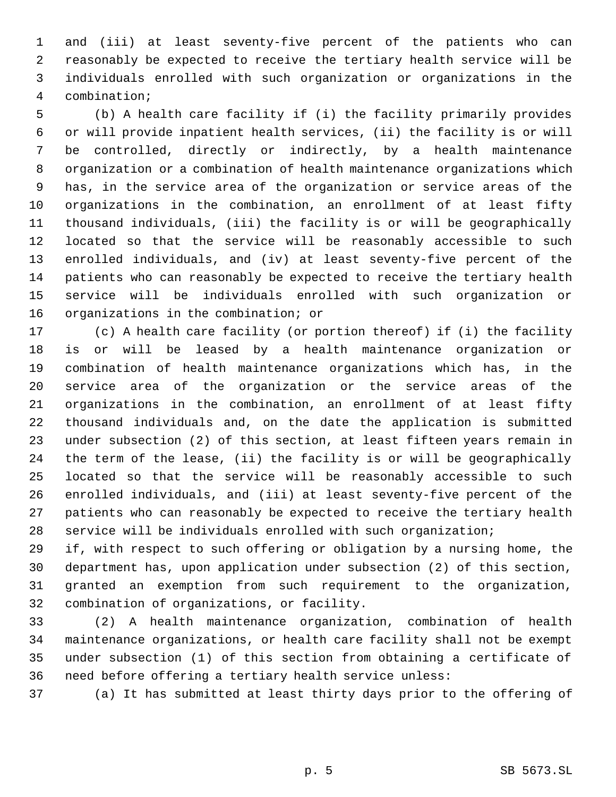and (iii) at least seventy-five percent of the patients who can reasonably be expected to receive the tertiary health service will be individuals enrolled with such organization or organizations in the combination;

 (b) A health care facility if (i) the facility primarily provides or will provide inpatient health services, (ii) the facility is or will be controlled, directly or indirectly, by a health maintenance organization or a combination of health maintenance organizations which has, in the service area of the organization or service areas of the organizations in the combination, an enrollment of at least fifty thousand individuals, (iii) the facility is or will be geographically located so that the service will be reasonably accessible to such enrolled individuals, and (iv) at least seventy-five percent of the patients who can reasonably be expected to receive the tertiary health service will be individuals enrolled with such organization or organizations in the combination; or

 (c) A health care facility (or portion thereof) if (i) the facility is or will be leased by a health maintenance organization or combination of health maintenance organizations which has, in the service area of the organization or the service areas of the organizations in the combination, an enrollment of at least fifty thousand individuals and, on the date the application is submitted under subsection (2) of this section, at least fifteen years remain in the term of the lease, (ii) the facility is or will be geographically located so that the service will be reasonably accessible to such enrolled individuals, and (iii) at least seventy-five percent of the patients who can reasonably be expected to receive the tertiary health service will be individuals enrolled with such organization;

 if, with respect to such offering or obligation by a nursing home, the department has, upon application under subsection (2) of this section, granted an exemption from such requirement to the organization, combination of organizations, or facility.

 (2) A health maintenance organization, combination of health maintenance organizations, or health care facility shall not be exempt under subsection (1) of this section from obtaining a certificate of need before offering a tertiary health service unless:

(a) It has submitted at least thirty days prior to the offering of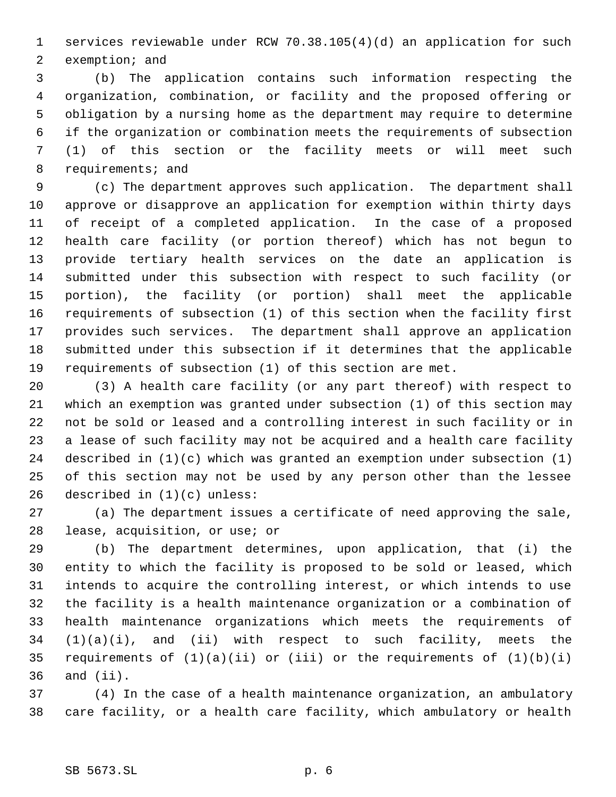services reviewable under RCW 70.38.105(4)(d) an application for such exemption; and

 (b) The application contains such information respecting the organization, combination, or facility and the proposed offering or obligation by a nursing home as the department may require to determine if the organization or combination meets the requirements of subsection (1) of this section or the facility meets or will meet such requirements; and

 (c) The department approves such application. The department shall approve or disapprove an application for exemption within thirty days of receipt of a completed application. In the case of a proposed health care facility (or portion thereof) which has not begun to provide tertiary health services on the date an application is submitted under this subsection with respect to such facility (or portion), the facility (or portion) shall meet the applicable requirements of subsection (1) of this section when the facility first provides such services. The department shall approve an application submitted under this subsection if it determines that the applicable requirements of subsection (1) of this section are met.

 (3) A health care facility (or any part thereof) with respect to which an exemption was granted under subsection (1) of this section may not be sold or leased and a controlling interest in such facility or in a lease of such facility may not be acquired and a health care facility described in (1)(c) which was granted an exemption under subsection (1) of this section may not be used by any person other than the lessee described in (1)(c) unless:

 (a) The department issues a certificate of need approving the sale, lease, acquisition, or use; or

 (b) The department determines, upon application, that (i) the entity to which the facility is proposed to be sold or leased, which intends to acquire the controlling interest, or which intends to use the facility is a health maintenance organization or a combination of health maintenance organizations which meets the requirements of (1)(a)(i), and (ii) with respect to such facility, meets the 35 requirements of  $(1)(a)(ii)$  or  $(iii)$  or the requirements of  $(1)(b)(i)$ and (ii).

 (4) In the case of a health maintenance organization, an ambulatory care facility, or a health care facility, which ambulatory or health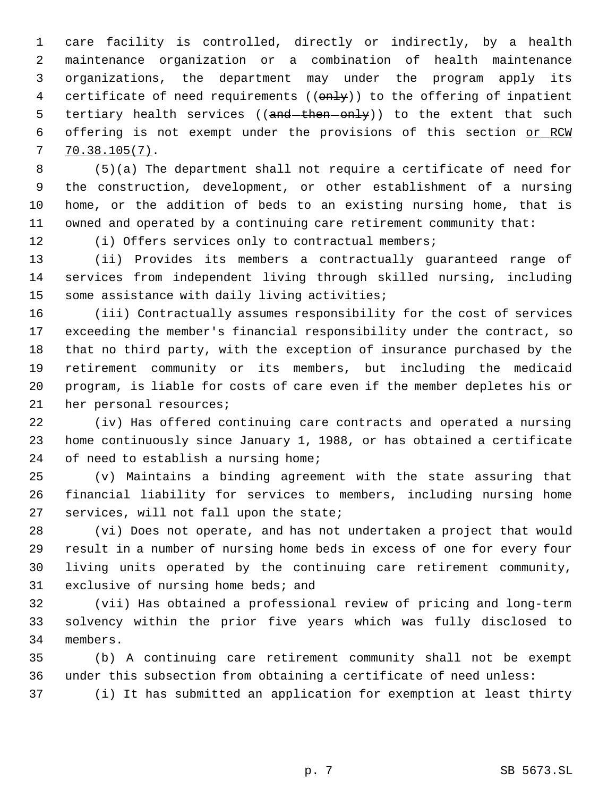care facility is controlled, directly or indirectly, by a health maintenance organization or a combination of health maintenance organizations, the department may under the program apply its 4 certificate of need requirements ((only)) to the offering of inpatient 5 tertiary health services ((and then only)) to the extent that such 6 offering is not exempt under the provisions of this section or RCW 70.38.105(7).

 (5)(a) The department shall not require a certificate of need for the construction, development, or other establishment of a nursing home, or the addition of beds to an existing nursing home, that is owned and operated by a continuing care retirement community that:

(i) Offers services only to contractual members;

 (ii) Provides its members a contractually guaranteed range of services from independent living through skilled nursing, including some assistance with daily living activities;

 (iii) Contractually assumes responsibility for the cost of services exceeding the member's financial responsibility under the contract, so that no third party, with the exception of insurance purchased by the retirement community or its members, but including the medicaid program, is liable for costs of care even if the member depletes his or her personal resources;

 (iv) Has offered continuing care contracts and operated a nursing home continuously since January 1, 1988, or has obtained a certificate 24 of need to establish a nursing home;

 (v) Maintains a binding agreement with the state assuring that financial liability for services to members, including nursing home services, will not fall upon the state;

 (vi) Does not operate, and has not undertaken a project that would result in a number of nursing home beds in excess of one for every four living units operated by the continuing care retirement community, exclusive of nursing home beds; and

 (vii) Has obtained a professional review of pricing and long-term solvency within the prior five years which was fully disclosed to members.

 (b) A continuing care retirement community shall not be exempt under this subsection from obtaining a certificate of need unless:

(i) It has submitted an application for exemption at least thirty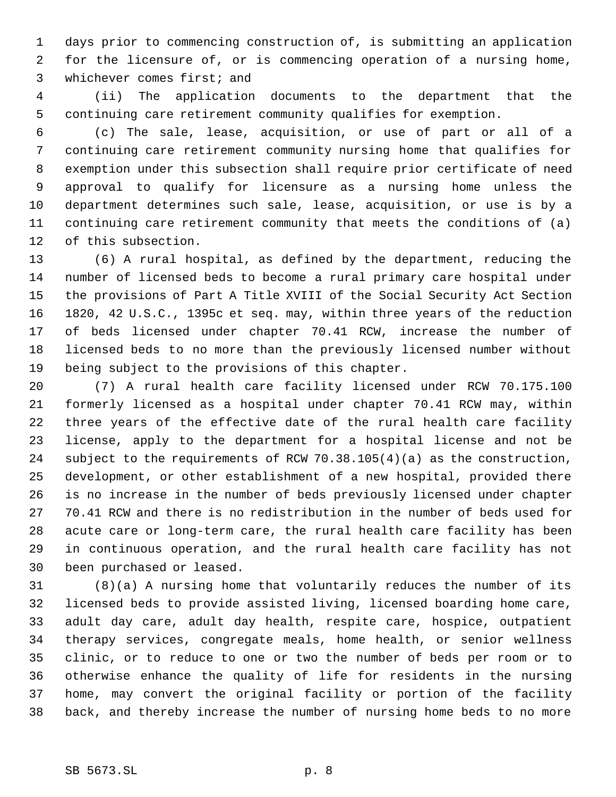days prior to commencing construction of, is submitting an application for the licensure of, or is commencing operation of a nursing home, whichever comes first; and

 (ii) The application documents to the department that the continuing care retirement community qualifies for exemption.

 (c) The sale, lease, acquisition, or use of part or all of a continuing care retirement community nursing home that qualifies for exemption under this subsection shall require prior certificate of need approval to qualify for licensure as a nursing home unless the department determines such sale, lease, acquisition, or use is by a continuing care retirement community that meets the conditions of (a) of this subsection.

 (6) A rural hospital, as defined by the department, reducing the number of licensed beds to become a rural primary care hospital under the provisions of Part A Title XVIII of the Social Security Act Section 1820, 42 U.S.C., 1395c et seq. may, within three years of the reduction of beds licensed under chapter 70.41 RCW, increase the number of licensed beds to no more than the previously licensed number without being subject to the provisions of this chapter.

 (7) A rural health care facility licensed under RCW 70.175.100 formerly licensed as a hospital under chapter 70.41 RCW may, within three years of the effective date of the rural health care facility license, apply to the department for a hospital license and not be subject to the requirements of RCW 70.38.105(4)(a) as the construction, development, or other establishment of a new hospital, provided there is no increase in the number of beds previously licensed under chapter 70.41 RCW and there is no redistribution in the number of beds used for acute care or long-term care, the rural health care facility has been in continuous operation, and the rural health care facility has not been purchased or leased.

 (8)(a) A nursing home that voluntarily reduces the number of its licensed beds to provide assisted living, licensed boarding home care, adult day care, adult day health, respite care, hospice, outpatient therapy services, congregate meals, home health, or senior wellness clinic, or to reduce to one or two the number of beds per room or to otherwise enhance the quality of life for residents in the nursing home, may convert the original facility or portion of the facility back, and thereby increase the number of nursing home beds to no more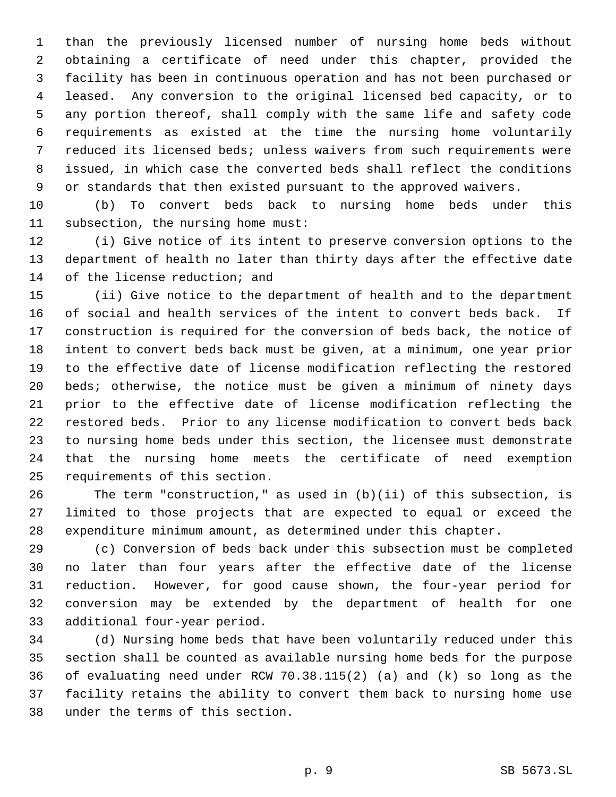than the previously licensed number of nursing home beds without obtaining a certificate of need under this chapter, provided the facility has been in continuous operation and has not been purchased or leased. Any conversion to the original licensed bed capacity, or to any portion thereof, shall comply with the same life and safety code requirements as existed at the time the nursing home voluntarily reduced its licensed beds; unless waivers from such requirements were issued, in which case the converted beds shall reflect the conditions or standards that then existed pursuant to the approved waivers.

 (b) To convert beds back to nursing home beds under this subsection, the nursing home must:

 (i) Give notice of its intent to preserve conversion options to the department of health no later than thirty days after the effective date 14 of the license reduction; and

 (ii) Give notice to the department of health and to the department of social and health services of the intent to convert beds back. If construction is required for the conversion of beds back, the notice of intent to convert beds back must be given, at a minimum, one year prior to the effective date of license modification reflecting the restored beds; otherwise, the notice must be given a minimum of ninety days prior to the effective date of license modification reflecting the restored beds. Prior to any license modification to convert beds back to nursing home beds under this section, the licensee must demonstrate that the nursing home meets the certificate of need exemption requirements of this section.

 The term "construction," as used in (b)(ii) of this subsection, is limited to those projects that are expected to equal or exceed the expenditure minimum amount, as determined under this chapter.

 (c) Conversion of beds back under this subsection must be completed no later than four years after the effective date of the license reduction. However, for good cause shown, the four-year period for conversion may be extended by the department of health for one additional four-year period.

 (d) Nursing home beds that have been voluntarily reduced under this section shall be counted as available nursing home beds for the purpose of evaluating need under RCW 70.38.115(2) (a) and (k) so long as the facility retains the ability to convert them back to nursing home use under the terms of this section.